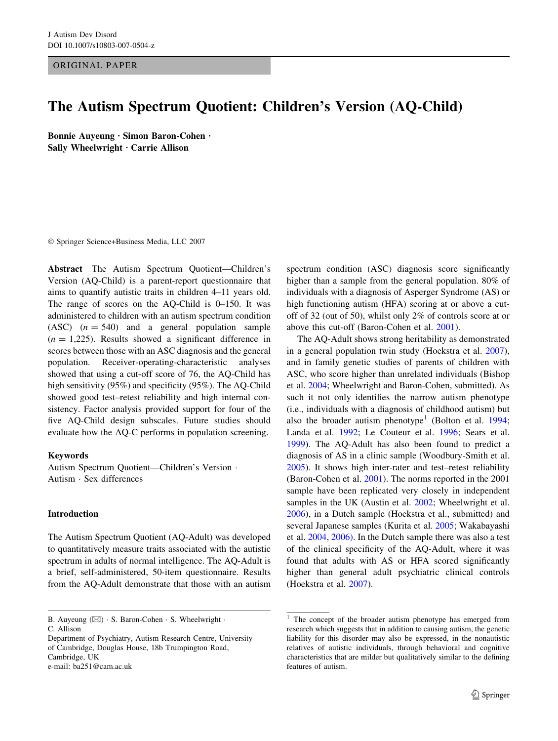ORIGINAL PAPER

# The Autism Spectrum Quotient: Children's Version (AQ-Child)

Bonnie Auveung · Simon Baron-Cohen · Sally Wheelwright  $\cdot$  Carrie Allison

! Springer Science+Business Media, LLC 2007

Abstract The Autism Spectrum Quotient—Children's Version (AQ-Child) is a parent-report questionnaire that aims to quantify autistic traits in children 4–11 years old. The range of scores on the AQ-Child is 0–150. It was administered to children with an autism spectrum condition (ASC)  $(n = 540)$  and a general population sample  $(n = 1,225)$ . Results showed a significant difference in scores between those with an ASC diagnosis and the general population. Receiver-operating-characteristic analyses showed that using a cut-off score of 76, the AQ-Child has high sensitivity (95%) and specificity (95%). The AQ-Child showed good test–retest reliability and high internal consistency. Factor analysis provided support for four of the five AQ-Child design subscales. Future studies should evaluate how the AQ-C performs in population screening.

## Keywords

Autism Spectrum Quotient—Children's Version · Autism ! Sex differences

## Introduction

The Autism Spectrum Quotient (AQ-Adult) was developed to quantitatively measure traits associated with the autistic spectrum in adults of normal intelligence. The AQ-Adult is a brief, self-administered, 50-item questionnaire. Results from the AQ-Adult demonstrate that those with an autism

B. Auyeung  $(\boxtimes) \cdot$  S. Baron-Cohen  $\cdot$  S. Wheelwright  $\cdot$ 

Department of Psychiatry, Autism Research Centre, University of Cambridge, Douglas House, 18b Trumpington Road, Cambridge, UK e-mail: ba251@cam.ac.uk

spectrum condition (ASC) diagnosis score significantly higher than a sample from the general population. 80% of individuals with a diagnosis of Asperger Syndrome (AS) or high functioning autism (HFA) scoring at or above a cutoff of 32 (out of 50), whilst only 2% of controls score at or above this cut-off (Baron-Cohen et al. [2001\)](#page-9-0).

The AQ-Adult shows strong heritability as demonstrated in a general population twin study (Hoekstra et al. [2007](#page-10-0)), and in family genetic studies of parents of children with ASC, who score higher than unrelated individuals (Bishop et al. [2004](#page-9-0); Wheelwright and Baron-Cohen, submitted). As such it not only identifies the narrow autism phenotype (i.e., individuals with a diagnosis of childhood autism) but also the broader autism phenotype<sup>1</sup> (Bolton et al. [1994](#page-10-0); Landa et al. [1992;](#page-10-0) Le Couteur et al. [1996;](#page-10-0) Sears et al. [1999](#page-10-0)). The AQ-Adult has also been found to predict a diagnosis of AS in a clinic sample (Woodbury-Smith et al. [2005](#page-10-0)). It shows high inter-rater and test–retest reliability (Baron-Cohen et al. [2001\)](#page-9-0). The norms reported in the 2001 sample have been replicated very closely in independent samples in the UK (Austin et al. [2002](#page-9-0); Wheelwright et al. [2006](#page-10-0)), in a Dutch sample (Hoekstra et al., submitted) and several Japanese samples (Kurita et al. [2005;](#page-10-0) Wakabayashi et al. [2004,](#page-10-0) [2006\)](#page-10-0). In the Dutch sample there was also a test of the clinical specificity of the AQ-Adult, where it was found that adults with AS or HFA scored significantly higher than general adult psychiatric clinical controls (Hoekstra et al. [2007\)](#page-10-0).

C. Allison

<sup>&</sup>lt;sup>1</sup> The concept of the broader autism phenotype has emerged from research which suggests that in addition to causing autism, the genetic liability for this disorder may also be expressed, in the nonautistic relatives of autistic individuals, through behavioral and cognitive characteristics that are milder but qualitatively similar to the defining features of autism.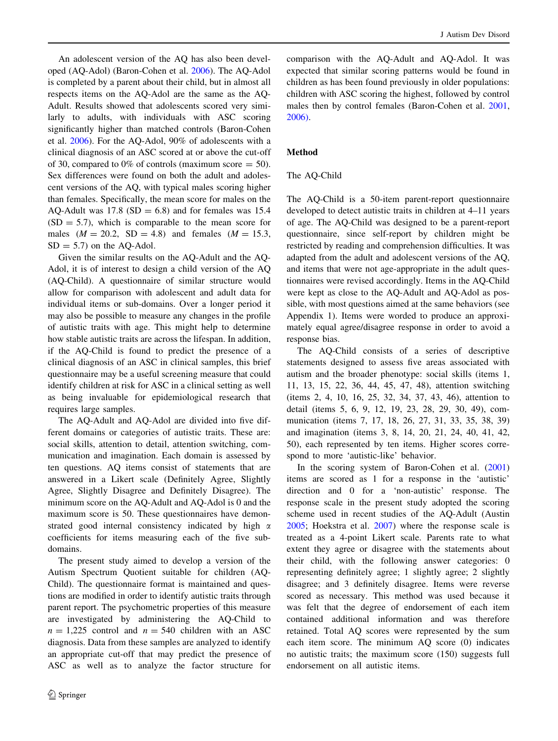An adolescent version of the AQ has also been developed (AQ-Adol) (Baron-Cohen et al. [2006](#page-9-0)). The AQ-Adol is completed by a parent about their child, but in almost all respects items on the AQ-Adol are the same as the AQ-Adult. Results showed that adolescents scored very similarly to adults, with individuals with ASC scoring significantly higher than matched controls (Baron-Cohen et al. [2006\)](#page-9-0). For the AQ-Adol, 90% of adolescents with a clinical diagnosis of an ASC scored at or above the cut-off of 30, compared to 0% of controls (maximum score  $=$  50). Sex differences were found on both the adult and adolescent versions of the AQ, with typical males scoring higher than females. Specifically, the mean score for males on the AQ-Adult was  $17.8$  (SD = 6.8) and for females was 15.4  $(SD = 5.7)$ , which is comparable to the mean score for males  $(M = 20.2, SD = 4.8)$  and females  $(M = 15.3,$  $SD = 5.7$ ) on the AQ-Adol.

Given the similar results on the AQ-Adult and the AQ-Adol, it is of interest to design a child version of the AQ (AQ-Child). A questionnaire of similar structure would allow for comparison with adolescent and adult data for individual items or sub-domains. Over a longer period it may also be possible to measure any changes in the profile of autistic traits with age. This might help to determine how stable autistic traits are across the lifespan. In addition, if the AQ-Child is found to predict the presence of a clinical diagnosis of an ASC in clinical samples, this brief questionnaire may be a useful screening measure that could identify children at risk for ASC in a clinical setting as well as being invaluable for epidemiological research that requires large samples.

The AQ-Adult and AQ-Adol are divided into five different domains or categories of autistic traits. These are: social skills, attention to detail, attention switching, communication and imagination. Each domain is assessed by ten questions. AQ items consist of statements that are answered in a Likert scale (Definitely Agree, Slightly Agree, Slightly Disagree and Definitely Disagree). The minimum score on the AQ-Adult and AQ-Adol is 0 and the maximum score is 50. These questionnaires have demonstrated good internal consistency indicated by high  $\alpha$ coefficients for items measuring each of the five subdomains.

The present study aimed to develop a version of the Autism Spectrum Quotient suitable for children (AQ-Child). The questionnaire format is maintained and questions are modified in order to identify autistic traits through parent report. The psychometric properties of this measure are investigated by administering the AQ-Child to  $n = 1,225$  control and  $n = 540$  children with an ASC diagnosis. Data from these samples are analyzed to identify an appropriate cut-off that may predict the presence of ASC as well as to analyze the factor structure for comparison with the AQ-Adult and AQ-Adol. It was expected that similar scoring patterns would be found in children as has been found previously in older populations: children with ASC scoring the highest, followed by control males then by control females (Baron-Cohen et al. [2001,](#page-9-0) [2006\)](#page-9-0).

## Method

## The AQ-Child

The AQ-Child is a 50-item parent-report questionnaire developed to detect autistic traits in children at 4–11 years of age. The AQ-Child was designed to be a parent-report questionnaire, since self-report by children might be restricted by reading and comprehension difficulties. It was adapted from the adult and adolescent versions of the AQ, and items that were not age-appropriate in the adult questionnaires were revised accordingly. Items in the AQ-Child were kept as close to the AQ-Adult and AQ-Adol as possible, with most questions aimed at the same behaviors (see Appendix 1). Items were worded to produce an approximately equal agree/disagree response in order to avoid a response bias.

The AQ-Child consists of a series of descriptive statements designed to assess five areas associated with autism and the broader phenotype: social skills (items 1, 11, 13, 15, 22, 36, 44, 45, 47, 48), attention switching (items 2, 4, 10, 16, 25, 32, 34, 37, 43, 46), attention to detail (items 5, 6, 9, 12, 19, 23, 28, 29, 30, 49), communication (items 7, 17, 18, 26, 27, 31, 33, 35, 38, 39) and imagination (items 3, 8, 14, 20, 21, 24, 40, 41, 42, 50), each represented by ten items. Higher scores correspond to more 'autistic-like' behavior.

In the scoring system of Baron-Cohen et al. ([2001\)](#page-9-0) items are scored as 1 for a response in the 'autistic' direction and 0 for a 'non-autistic' response. The response scale in the present study adopted the scoring scheme used in recent studies of the AQ-Adult (Austin [2005](#page-9-0); Hoekstra et al. [2007](#page-10-0)) where the response scale is treated as a 4-point Likert scale. Parents rate to what extent they agree or disagree with the statements about their child, with the following answer categories: 0 representing definitely agree; 1 slightly agree; 2 slightly disagree; and 3 definitely disagree. Items were reverse scored as necessary. This method was used because it was felt that the degree of endorsement of each item contained additional information and was therefore retained. Total AQ scores were represented by the sum each item score. The minimum AQ score (0) indicates no autistic traits; the maximum score (150) suggests full endorsement on all autistic items.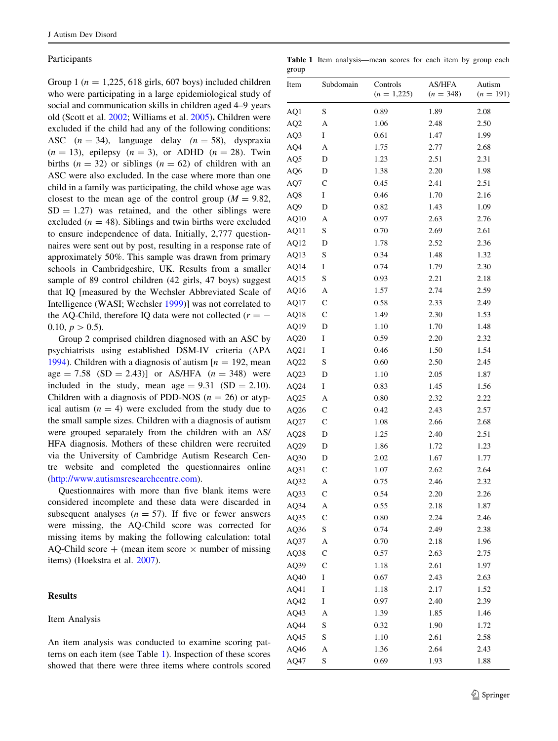## Participants

Group 1 ( $n = 1,225, 618$  girls, 607 boys) included children who were participating in a large epidemiological study of social and communication skills in children aged 4–9 years old (Scott et al. [2002;](#page-10-0) Williams et al. [2005\)](#page-10-0). Children were excluded if the child had any of the following conditions: ASC  $(n = 34)$ , language delay  $(n = 58)$ , dyspraxia  $(n = 13)$ , epilepsy  $(n = 3)$ , or ADHD  $(n = 28)$ . Twin births ( $n = 32$ ) or siblings ( $n = 62$ ) of children with an ASC were also excluded. In the case where more than one child in a family was participating, the child whose age was closest to the mean age of the control group ( $M = 9.82$ ,  $SD = 1.27$ ) was retained, and the other siblings were excluded ( $n = 48$ ). Siblings and twin births were excluded to ensure independence of data. Initially, 2,777 questionnaires were sent out by post, resulting in a response rate of approximately 50%. This sample was drawn from primary schools in Cambridgeshire, UK. Results from a smaller sample of 89 control children (42 girls, 47 boys) suggest that IQ [measured by the Wechsler Abbreviated Scale of Intelligence (WASI; Wechsler [1999\)](#page-10-0)] was not correlated to the AQ-Child, therefore IQ data were not collected  $(r = -$ 0.10,  $p > 0.5$ ).

Group 2 comprised children diagnosed with an ASC by psychiatrists using established DSM-IV criteria (APA [1994\)](#page-9-0). Children with a diagnosis of autism  $[n = 192, \text{mean}]$ age = 7.58 (SD = 2.43)] or AS/HFA  $(n = 348)$  were included in the study, mean age  $= 9.31$  (SD  $= 2.10$ ). Children with a diagnosis of PDD-NOS ( $n = 26$ ) or atypical autism  $(n = 4)$  were excluded from the study due to the small sample sizes. Children with a diagnosis of autism were grouped separately from the children with an AS/ HFA diagnosis. Mothers of these children were recruited via the University of Cambridge Autism Research Centre website and completed the questionnaires online [\(http://www.autismsresearchcentre.com\)](http://www.autismsresearchcentre.com).

Questionnaires with more than five blank items were considered incomplete and these data were discarded in subsequent analyses  $(n = 57)$ . If five or fewer answers were missing, the AQ-Child score was corrected for missing items by making the following calculation: total AQ-Child score  $+$  (mean item score  $\times$  number of missing items) (Hoekstra et al. [2007\)](#page-10-0).

## Results

#### Item Analysis

An item analysis was conducted to examine scoring patterns on each item (see Table 1). Inspection of these scores showed that there were three items where controls scored

Table 1 Item analysis—mean scores for each item by group each group

| Item            | Subdomain    | Controls<br>$(n = 1,225)$ | <b>AS/HFA</b><br>$(n = 348)$ | Autism<br>$(n = 191)$ |
|-----------------|--------------|---------------------------|------------------------------|-----------------------|
| AQ1             | S            | 0.89                      | 1.89                         | 2.08                  |
| AQ <sub>2</sub> | A            | 1.06                      | 2.48                         | 2.50                  |
| AQ3             | Ι            | 0.61                      | 1.47                         | 1.99                  |
| AQ4             | A            | 1.75                      | 2.77                         | 2.68                  |
| AQ5             | D            | 1.23                      | 2.51                         | 2.31                  |
| AQ6             | D            | 1.38                      | 2.20                         | 1.98                  |
| AQ7             | $\mathsf{C}$ | 0.45                      | 2.41                         | 2.51                  |
| AQ8             | I            | 0.46                      | 1.70                         | 2.16                  |
| AQ9             | D            | 0.82                      | 1.43                         | 1.09                  |
| AQ10            | Α            | 0.97                      | 2.63                         | 2.76                  |
| AQ11            | S            | 0.70                      | 2.69                         | 2.61                  |
| AQ12            | D            | 1.78                      | 2.52                         | 2.36                  |
| AQ13            | S            | 0.34                      | 1.48                         | 1.32                  |
| AQ14            | I            | 0.74                      | 1.79                         | 2.30                  |
| AQ15            | S            | 0.93                      | 2.21                         | 2.18                  |
| AQ16            | А            | 1.57                      | 2.74                         | 2.59                  |
| AQ17            | C            | 0.58                      | 2.33                         | 2.49                  |
| AQ18            | $\mathsf{C}$ | 1.49                      | 2.30                         | 1.53                  |
| AQ19            | D            | 1.10                      | 1.70                         | 1.48                  |
| AQ20            | I            | 0.59                      | 2.20                         | 2.32                  |
| AQ21            | I            | 0.46                      | 1.50                         | 1.54                  |
| AQ22            | S            | 0.60                      | 2.50                         | 2.45                  |
| AQ23            | D            | 1.10                      | 2.05                         | 1.87                  |
| AQ24            | I            | 0.83                      | 1.45                         | 1.56                  |
| AQ25            | Α            | 0.80                      | 2.32                         | 2.22                  |
| AQ26            | $\mathsf{C}$ | 0.42                      | 2.43                         | 2.57                  |
| AQ27            | $\mathsf{C}$ | 1.08                      | 2.66                         | 2.68                  |
| AQ28            | D            | 1.25                      | 2.40                         | 2.51                  |
| AQ29            | D            | 1.86                      | 1.72                         | 1.23                  |
| AQ30            | D            | 2.02                      | 1.67                         | 1.77                  |
| AQ31            | $\mathsf{C}$ | 1.07                      | 2.62                         | 2.64                  |
| AQ32            | A            | 0.75                      | 2.46                         | 2.32                  |
| AQ33            | $\mathsf{C}$ | 0.54                      | 2.20                         | 2.26                  |
| AQ34            | A            | 0.55                      | 2.18                         | 1.87                  |
| AQ35            | $\mathbf C$  | 0.80                      | 2.24                         | 2.46                  |
| AQ36            | S            | 0.74                      | 2.49                         | 2.38                  |
| AQ37            | A            | 0.70                      | 2.18                         | 1.96                  |
| AQ38            | $\mathsf{C}$ | 0.57                      | 2.63                         | 2.75                  |
| AQ39            | $\mathsf{C}$ | 1.18                      | 2.61                         | 1.97                  |
| AQ40            | I            | 0.67                      | 2.43                         | 2.63                  |
| AQ41            | I            | 1.18                      | 2.17                         | 1.52                  |
| AQ42            | I            | 0.97                      | 2.40                         | 2.39                  |
|                 |              |                           |                              |                       |
| AQ43            | A            | 1.39                      | 1.85                         | 1.46                  |
| AQ44            | S<br>S       | 0.32                      | 1.90                         | 1.72                  |
| AQ45<br>AQ46    | A            | 1.10                      | 2.61<br>2.64                 | 2.58                  |
|                 |              | 1.36                      |                              | 2.43                  |
| AQ47            | S            | 0.69                      | 1.93                         | 1.88                  |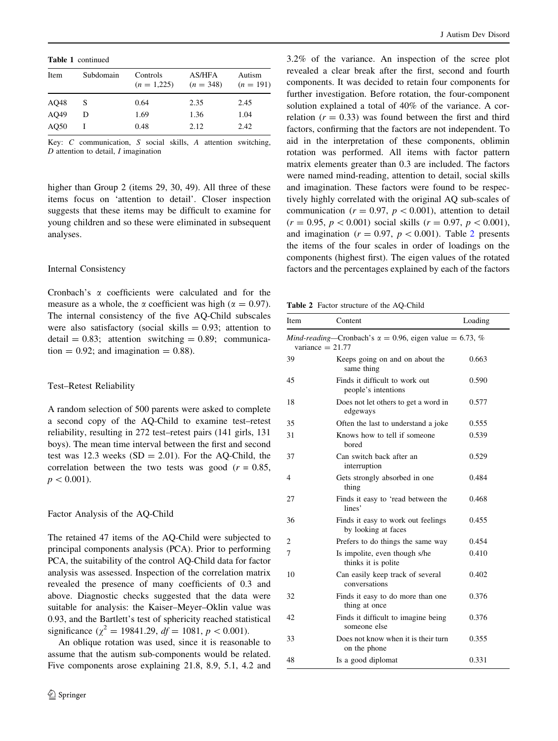Table 1 continued

| Item | Subdomain | Controls<br>$(n = 1,225)$ | AS/HFA<br>$(n = 348)$ | Autism<br>$(n = 191)$ |
|------|-----------|---------------------------|-----------------------|-----------------------|
| AO48 | S         | 0.64                      | 2.35                  | 2.45                  |
| AO49 | D         | 1.69                      | 1.36                  | 1.04                  |
| AO50 |           | 0.48                      | 2.12                  | 2.42                  |

Key: C communication, S social skills, A attention switching,  $D$  attention to detail,  $I$  imagination

higher than Group 2 (items 29, 30, 49). All three of these items focus on 'attention to detail'. Closer inspection suggests that these items may be difficult to examine for young children and so these were eliminated in subsequent analyses.

#### Internal Consistency

Cronbach's  $\alpha$  coefficients were calculated and for the measure as a whole, the  $\alpha$  coefficient was high ( $\alpha = 0.97$ ). The internal consistency of the five AQ-Child subscales were also satisfactory (social skills  $= 0.93$ ; attention to  $\text{detail} = 0.83$ ; attention switching = 0.89; communication  $= 0.92$ ; and imagination  $= 0.88$ ).

#### Test–Retest Reliability

A random selection of 500 parents were asked to complete a second copy of the AQ-Child to examine test–retest reliability, resulting in 272 test–retest pairs (141 girls, 131 boys). The mean time interval between the first and second test was 12.3 weeks  $(SD = 2.01)$ . For the AQ-Child, the correlation between the two tests was good ( $r = 0.85$ ,  $p < 0.001$ ).

#### Factor Analysis of the AQ-Child

The retained 47 items of the AQ-Child were subjected to principal components analysis (PCA). Prior to performing PCA, the suitability of the control AQ-Child data for factor analysis was assessed. Inspection of the correlation matrix revealed the presence of many coefficients of 0.3 and above. Diagnostic checks suggested that the data were suitable for analysis: the Kaiser–Meyer–Oklin value was 0.93, and the Bartlett's test of sphericity reached statistical significance ( $\chi^2 = 19841.29$ ,  $df = 1081$ ,  $p < 0.001$ ).

An oblique rotation was used, since it is reasonable to assume that the autism sub-components would be related. Five components arose explaining 21.8, 8.9, 5.1, 4.2 and

3.2% of the variance. An inspection of the scree plot revealed a clear break after the first, second and fourth components. It was decided to retain four components for further investigation. Before rotation, the four-component solution explained a total of 40% of the variance. A correlation  $(r = 0.33)$  was found between the first and third factors, confirming that the factors are not independent. To aid in the interpretation of these components, oblimin rotation was performed. All items with factor pattern matrix elements greater than 0.3 are included. The factors were named mind-reading, attention to detail, social skills and imagination. These factors were found to be respectively highly correlated with the original AQ sub-scales of communication ( $r = 0.97$ ,  $p < 0.001$ ), attention to detail  $(r = 0.95, p < 0.001)$  social skills  $(r = 0.97, p < 0.001)$ , and imagination ( $r = 0.97$ ,  $p < 0.001$ ). Table 2 presents the items of the four scales in order of loadings on the components (highest first). The eigen values of the rotated factors and the percentages explained by each of the factors

Table 2 Factor structure of the AQ-Child

| Item                                                                                  | Content                                                   | Loading |  |  |  |  |  |
|---------------------------------------------------------------------------------------|-----------------------------------------------------------|---------|--|--|--|--|--|
| Mind-reading—Cronbach's $\alpha = 0.96$ , eigen value = 6.73, %<br>variance $= 21.77$ |                                                           |         |  |  |  |  |  |
| 39                                                                                    | Keeps going on and on about the<br>same thing             | 0.663   |  |  |  |  |  |
| 45                                                                                    | Finds it difficult to work out<br>people's intentions     | 0.590   |  |  |  |  |  |
| 18                                                                                    | Does not let others to get a word in<br>edgeways          | 0.577   |  |  |  |  |  |
| 35                                                                                    | Often the last to understand a joke                       | 0.555   |  |  |  |  |  |
| 31                                                                                    | Knows how to tell if someone<br>bored                     | 0.539   |  |  |  |  |  |
| 37                                                                                    | Can switch back after an<br>interruption                  | 0.529   |  |  |  |  |  |
| 4                                                                                     | Gets strongly absorbed in one<br>thing                    | 0.484   |  |  |  |  |  |
| 27                                                                                    | Finds it easy to 'read between the<br>lines'              | 0.468   |  |  |  |  |  |
| 36                                                                                    | Finds it easy to work out feelings<br>by looking at faces | 0.455   |  |  |  |  |  |
| 2                                                                                     | Prefers to do things the same way                         | 0.454   |  |  |  |  |  |
| 7                                                                                     | Is impolite, even though s/he<br>thinks it is polite      | 0.410   |  |  |  |  |  |
| 10                                                                                    | Can easily keep track of several<br>conversations         | 0.402   |  |  |  |  |  |
| 32                                                                                    | Finds it easy to do more than one<br>thing at once        | 0.376   |  |  |  |  |  |
| 42                                                                                    | Finds it difficult to imagine being<br>someone else       | 0.376   |  |  |  |  |  |
| 33                                                                                    | Does not know when it is their turn<br>on the phone       | 0.355   |  |  |  |  |  |
| 48                                                                                    | Is a good diplomat                                        | 0.331   |  |  |  |  |  |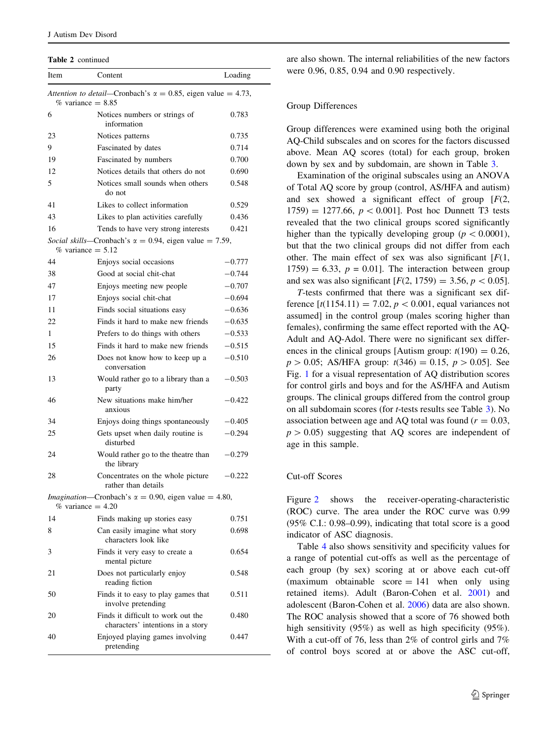Table 2 continued

| Item                                                                                         | Content                                                                                     | Loading  |  |  |  |  |
|----------------------------------------------------------------------------------------------|---------------------------------------------------------------------------------------------|----------|--|--|--|--|
| Attention to detail—Cronbach's $\alpha = 0.85$ , eigen value = 4.73,<br>$\%$ variance = 8.85 |                                                                                             |          |  |  |  |  |
| 6                                                                                            | Notices numbers or strings of<br>information                                                | 0.783    |  |  |  |  |
| 23                                                                                           | Notices patterns                                                                            | 0.735    |  |  |  |  |
| 9                                                                                            | Fascinated by dates                                                                         | 0.714    |  |  |  |  |
| 19                                                                                           | Fascinated by numbers                                                                       | 0.700    |  |  |  |  |
| 12                                                                                           | Notices details that others do not                                                          | 0.690    |  |  |  |  |
| 5                                                                                            | Notices small sounds when others<br>do not                                                  | 0.548    |  |  |  |  |
| 41                                                                                           | Likes to collect information                                                                | 0.529    |  |  |  |  |
| 43                                                                                           | Likes to plan activities carefully                                                          | 0.436    |  |  |  |  |
| 16                                                                                           | Tends to have very strong interests                                                         | 0.421    |  |  |  |  |
|                                                                                              | Social skills—Cronbach's $\alpha = 0.94$ , eigen value = 7.59,<br>$\%$ variance = 5.12      |          |  |  |  |  |
| 44                                                                                           | Enjoys social occasions                                                                     | $-0.777$ |  |  |  |  |
| 38                                                                                           | Good at social chit-chat                                                                    | $-0.744$ |  |  |  |  |
| 47                                                                                           | Enjoys meeting new people                                                                   | $-0.707$ |  |  |  |  |
| 17                                                                                           | Enjoys social chit-chat                                                                     | $-0.694$ |  |  |  |  |
| 11                                                                                           | Finds social situations easy                                                                | $-0.636$ |  |  |  |  |
| 22                                                                                           | Finds it hard to make new friends                                                           | $-0.635$ |  |  |  |  |
| 1                                                                                            | Prefers to do things with others                                                            | $-0.533$ |  |  |  |  |
| 15                                                                                           | Finds it hard to make new friends                                                           | $-0.515$ |  |  |  |  |
| 26                                                                                           | Does not know how to keep up a<br>conversation                                              | $-0.510$ |  |  |  |  |
| 13                                                                                           | Would rather go to a library than a<br>party                                                | $-0.503$ |  |  |  |  |
| 46                                                                                           | New situations make him/her<br>anxious                                                      | -0.422   |  |  |  |  |
| 34                                                                                           | Enjoys doing things spontaneously                                                           | $-0.405$ |  |  |  |  |
| 25                                                                                           | Gets upset when daily routine is<br>disturbed                                               | $-0.294$ |  |  |  |  |
| 24                                                                                           | Would rather go to the theatre than<br>the library                                          | $-0.279$ |  |  |  |  |
| 28                                                                                           | Concentrates on the whole picture<br>rather than details                                    | $-0.222$ |  |  |  |  |
|                                                                                              | <i>Imagination</i> —Cronbach's $\alpha = 0.90$ , eigen value = 4.80,<br>$%$ variance = 4.20 |          |  |  |  |  |
| 14                                                                                           | Finds making up stories easy                                                                | 0.751    |  |  |  |  |
| 8                                                                                            | Can easily imagine what story<br>characters look like                                       | 0.698    |  |  |  |  |
| 3                                                                                            | Finds it very easy to create a<br>mental picture                                            | 0.654    |  |  |  |  |
| 21                                                                                           | Does not particularly enjoy<br>reading fiction                                              | 0.548    |  |  |  |  |
| 50                                                                                           | Finds it to easy to play games that<br>involve pretending                                   | 0.511    |  |  |  |  |
| 20                                                                                           | Finds it difficult to work out the<br>characters' intentions in a story                     | 0.480    |  |  |  |  |
| 40                                                                                           | Enjoyed playing games involving<br>pretending                                               | 0.447    |  |  |  |  |

are also shown. The internal reliabilities of the new factors were 0.96, 0.85, 0.94 and 0.90 respectively.

### Group Differences

Group differences were examined using both the original AQ-Child subscales and on scores for the factors discussed above. Mean AQ scores (total) for each group, broken down by sex and by subdomain, are shown in Table [3.](#page-5-0)

Examination of the original subscales using an ANOVA of Total AQ score by group (control, AS/HFA and autism) and sex showed a significant effect of group  $[F(2,$ 1759) = 1277.66,  $p < 0.001$ . Post hoc Dunnett T3 tests revealed that the two clinical groups scored significantly higher than the typically developing group ( $p \lt 0.0001$ ), but that the two clinical groups did not differ from each other. The main effect of sex was also significant  $[F(1,$  $1759$ ) = 6.33,  $p = 0.01$ . The interaction between group and sex was also significant  $[F(2, 1759) = 3.56, p < 0.05]$ .

T-tests confirmed that there was a significant sex difference  $[t(1154.11) = 7.02, p < 0.001$ , equal variances not assumed] in the control group (males scoring higher than females), confirming the same effect reported with the AQ-Adult and AQ-Adol. There were no significant sex differences in the clinical groups [Autism group:  $t(190) = 0.26$ ,  $p > 0.05$ ; AS/HFA group:  $t(346) = 0.15$ ,  $p > 0.05$ ]. See Fig. [1](#page-6-0) for a visual representation of AQ distribution scores for control girls and boys and for the AS/HFA and Autism groups. The clinical groups differed from the control group on all subdomain scores (for t-tests results see Table [3\)](#page-5-0). No association between age and AQ total was found ( $r = 0.03$ ,  $p > 0.05$ ) suggesting that AQ scores are independent of age in this sample.

#### Cut-off Scores

Figure [2](#page-6-0) shows the receiver-operating-characteristic (ROC) curve. The area under the ROC curve was 0.99 (95% C.I.: 0.98–0.99), indicating that total score is a good indicator of ASC diagnosis.

Table [4](#page-7-0) also shows sensitivity and specificity values for a range of potential cut-offs as well as the percentage of each group (by sex) scoring at or above each cut-off (maximum obtainable score  $= 141$  when only using retained items). Adult (Baron-Cohen et al. [2001\)](#page-9-0) and adolescent (Baron-Cohen et al. [2006](#page-9-0)) data are also shown. The ROC analysis showed that a score of 76 showed both high sensitivity (95%) as well as high specificity (95%). With a cut-off of 76, less than 2% of control girls and 7% of control boys scored at or above the ASC cut-off,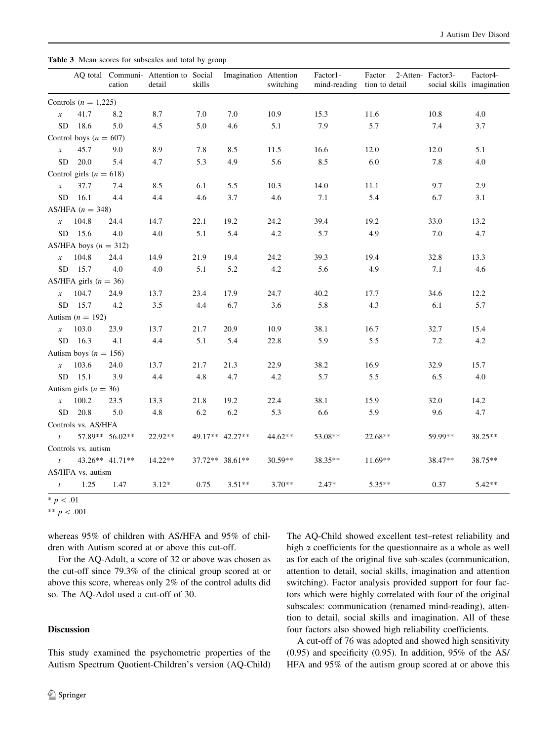<span id="page-5-0"></span>Table 3 Mean scores for subscales and total by group

|                  |                             | cation          | AQ total Communi- Attention to Social<br>detail | skills | Imagination Attention | switching | Factor1-<br>mind-reading tion to detail | Factor    | 2-Atten-Factor3- | Factor4-<br>social skills imagination |
|------------------|-----------------------------|-----------------|-------------------------------------------------|--------|-----------------------|-----------|-----------------------------------------|-----------|------------------|---------------------------------------|
|                  | Controls $(n = 1,225)$      |                 |                                                 |        |                       |           |                                         |           |                  |                                       |
| $\boldsymbol{x}$ | 41.7                        | 8.2             | 8.7                                             | 7.0    | 7.0                   | 10.9      | 15.3                                    | 11.6      | 10.8             | 4.0                                   |
| <b>SD</b>        | 18.6                        | 5.0             | 4.5                                             | 5.0    | 4.6                   | 5.1       | 7.9                                     | 5.7       | 7.4              | 3.7                                   |
|                  | Control boys ( $n = 607$ )  |                 |                                                 |        |                       |           |                                         |           |                  |                                       |
| $\boldsymbol{x}$ | 45.7                        | 9.0             | 8.9                                             | 7.8    | 8.5                   | 11.5      | 16.6                                    | 12.0      | 12.0             | 5.1                                   |
| <b>SD</b>        | 20.0                        | 5.4             | 4.7                                             | 5.3    | 4.9                   | 5.6       | 8.5                                     | 6.0       | 7.8              | 4.0                                   |
|                  | Control girls ( $n = 618$ ) |                 |                                                 |        |                       |           |                                         |           |                  |                                       |
| $\boldsymbol{x}$ | 37.7                        | 7.4             | 8.5                                             | 6.1    | 5.5                   | 10.3      | 14.0                                    | 11.1      | 9.7              | 2.9                                   |
| ${\rm SD}$       | 16.1                        | 4.4             | 4.4                                             | 4.6    | 3.7                   | 4.6       | 7.1                                     | 5.4       | 6.7              | 3.1                                   |
|                  | AS/HFA $(n = 348)$          |                 |                                                 |        |                       |           |                                         |           |                  |                                       |
| $\boldsymbol{x}$ | 104.8                       | 24.4            | 14.7                                            | 22.1   | 19.2                  | 24.2      | 39.4                                    | 19.2      | 33.0             | 13.2                                  |
| SD               | 15.6                        | 4.0             | 4.0                                             | 5.1    | 5.4                   | 4.2       | 5.7                                     | 4.9       | 7.0              | 4.7                                   |
|                  | AS/HFA boys $(n = 312)$     |                 |                                                 |        |                       |           |                                         |           |                  |                                       |
| $\boldsymbol{x}$ | 104.8                       | 24.4            | 14.9                                            | 21.9   | 19.4                  | 24.2      | 39.3                                    | 19.4      | 32.8             | 13.3                                  |
| <b>SD</b>        | 15.7                        | 4.0             | 4.0                                             | 5.1    | 5.2                   | 4.2       | 5.6                                     | 4.9       | 7.1              | 4.6                                   |
|                  | AS/HFA girls $(n = 36)$     |                 |                                                 |        |                       |           |                                         |           |                  |                                       |
| $\boldsymbol{x}$ | 104.7                       | 24.9            | 13.7                                            | 23.4   | 17.9                  | 24.7      | 40.2                                    | 17.7      | 34.6             | 12.2                                  |
| <b>SD</b>        | 15.7                        | 4.2             | 3.5                                             | 4.4    | 6.7                   | 3.6       | 5.8                                     | 4.3       | 6.1              | 5.7                                   |
|                  | Autism ( $n = 192$ )        |                 |                                                 |        |                       |           |                                         |           |                  |                                       |
| $\boldsymbol{x}$ | 103.0                       | 23.9            | 13.7                                            | 21.7   | 20.9                  | 10.9      | 38.1                                    | 16.7      | 32.7             | 15.4                                  |
| <b>SD</b>        | 16.3                        | 4.1             | 4.4                                             | 5.1    | 5.4                   | 22.8      | 5.9                                     | 5.5       | 7.2              | 4.2                                   |
|                  | Autism boys ( $n = 156$ )   |                 |                                                 |        |                       |           |                                         |           |                  |                                       |
| $\boldsymbol{x}$ | 103.6                       | 24.0            | 13.7                                            | 21.7   | 21.3                  | 22.9      | 38.2                                    | 16.9      | 32.9             | 15.7                                  |
| <b>SD</b>        | 15.1                        | 3.9             | 4.4                                             | 4.8    | 4.7                   | 4.2       | 5.7                                     | 5.5       | 6.5              | $4.0\,$                               |
|                  | Autism girls ( $n = 36$ )   |                 |                                                 |        |                       |           |                                         |           |                  |                                       |
| $\boldsymbol{x}$ | 100.2                       | 23.5            | 13.3                                            | 21.8   | 19.2                  | 22.4      | 38.1                                    | 15.9      | 32.0             | 14.2                                  |
| <b>SD</b>        | 20.8                        | 5.0             | 4.8                                             | 6.2    | 6.2                   | 5.3       | 6.6                                     | 5.9       | 9.6              | 4.7                                   |
|                  | Controls vs. AS/HFA         |                 |                                                 |        |                       |           |                                         |           |                  |                                       |
| $\mathfrak{t}$   |                             | 57.89** 56.02** | 22.92**                                         |        | 49.17** 42.27**       | 44.62**   | 53.08**                                 | 22.68**   | 59.99**          | 38.25**                               |
|                  | Controls vs. autism         |                 |                                                 |        |                       |           |                                         |           |                  |                                       |
| $\mathfrak{t}$   |                             | 43.26** 41.71** | $14.22**$                                       |        | 37.72** 38.61**       | $30.59**$ | 38.35**                                 | $11.69**$ | 38.47**          | 38.75**                               |
|                  | AS/HFA vs. autism           |                 |                                                 |        |                       |           |                                         |           |                  |                                       |
| $\boldsymbol{t}$ | 1.25                        | 1.47            | $3.12*$                                         | 0.75   | $3.51**$              | $3.70**$  | $2.47*$                                 | $5.35**$  | 0.37             | $5.42**$                              |

 $* p < .01$ 

\*\*  $p < .001$ 

whereas 95% of children with AS/HFA and 95% of children with Autism scored at or above this cut-off.

For the AQ-Adult, a score of 32 or above was chosen as the cut-off since 79.3% of the clinical group scored at or above this score, whereas only 2% of the control adults did so. The AQ-Adol used a cut-off of 30.

#### **Discussion**

This study examined the psychometric properties of the Autism Spectrum Quotient-Children's version (AQ-Child) The AQ-Child showed excellent test–retest reliability and high  $\alpha$  coefficients for the questionnaire as a whole as well as for each of the original five sub-scales (communication, attention to detail, social skills, imagination and attention switching). Factor analysis provided support for four factors which were highly correlated with four of the original subscales: communication (renamed mind-reading), attention to detail, social skills and imagination. All of these four factors also showed high reliability coefficients.

A cut-off of 76 was adopted and showed high sensitivity (0.95) and specificity (0.95). In addition, 95% of the AS/ HFA and 95% of the autism group scored at or above this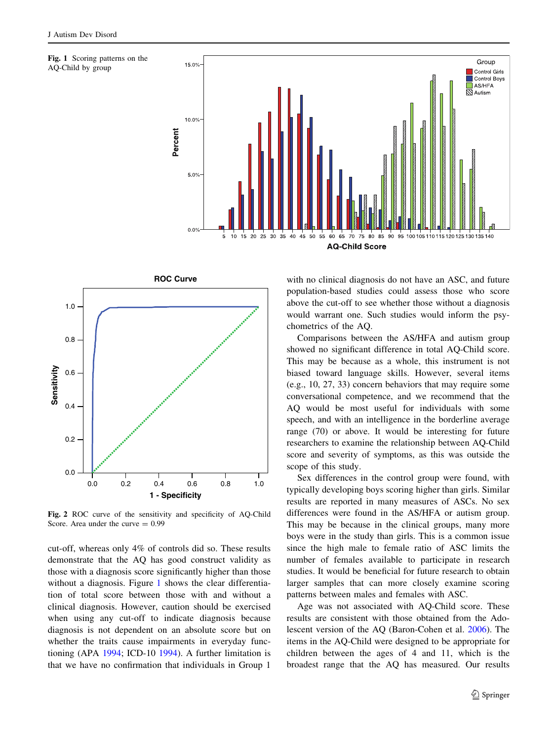<span id="page-6-0"></span>





Fig. 2 ROC curve of the sensitivity and specificity of AQ-Child Score. Area under the curve  $= 0.99$ 

cut-off, whereas only 4% of controls did so. These results demonstrate that the AQ has good construct validity as those with a diagnosis score significantly higher than those without a diagnosis. Figure 1 shows the clear differentiation of total score between those with and without a clinical diagnosis. However, caution should be exercised when using any cut-off to indicate diagnosis because diagnosis is not dependent on an absolute score but on whether the traits cause impairments in everyday functioning (APA [1994](#page-9-0); ICD-10 [1994](#page-10-0)). A further limitation is that we have no confirmation that individuals in Group 1

with no clinical diagnosis do not have an ASC, and future population-based studies could assess those who score above the cut-off to see whether those without a diagnosis would warrant one. Such studies would inform the psychometrics of the AQ.

Comparisons between the AS/HFA and autism group showed no significant difference in total AQ-Child score. This may be because as a whole, this instrument is not biased toward language skills. However, several items (e.g., 10, 27, 33) concern behaviors that may require some conversational competence, and we recommend that the AQ would be most useful for individuals with some speech, and with an intelligence in the borderline average range (70) or above. It would be interesting for future researchers to examine the relationship between AQ-Child score and severity of symptoms, as this was outside the scope of this study.

Sex differences in the control group were found, with typically developing boys scoring higher than girls. Similar results are reported in many measures of ASCs. No sex differences were found in the AS/HFA or autism group. This may be because in the clinical groups, many more boys were in the study than girls. This is a common issue since the high male to female ratio of ASC limits the number of females available to participate in research studies. It would be beneficial for future research to obtain larger samples that can more closely examine scoring patterns between males and females with ASC.

Age was not associated with AQ-Child score. These results are consistent with those obtained from the Adolescent version of the AQ (Baron-Cohen et al. [2006](#page-9-0)). The items in the AQ-Child were designed to be appropriate for children between the ages of 4 and 11, which is the broadest range that the AQ has measured. Our results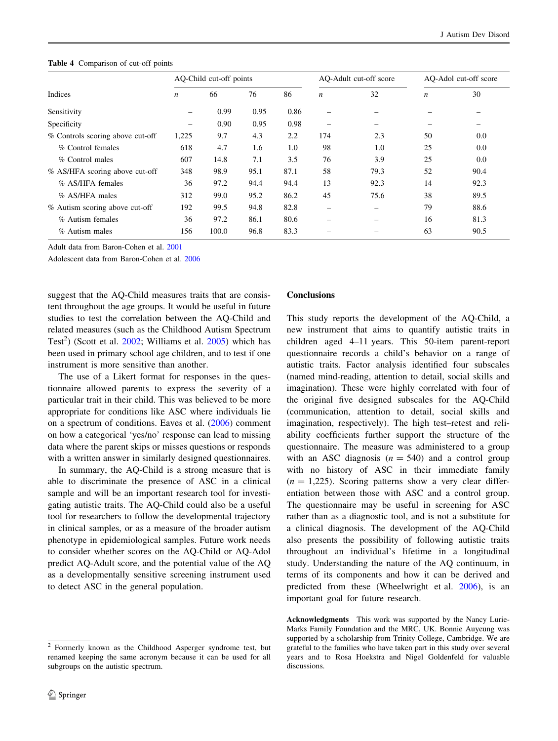<span id="page-7-0"></span>

|  | <b>Table 4</b> Comparison of cut-off points |  |  |
|--|---------------------------------------------|--|--|
|--|---------------------------------------------|--|--|

|                                  | AQ-Child cut-off points |       |      |      | AO-Adult cut-off score   |      | AO-Adol cut-off score |      |
|----------------------------------|-------------------------|-------|------|------|--------------------------|------|-----------------------|------|
| Indices                          | $\boldsymbol{n}$        | 66    | 76   | 86   | $\boldsymbol{n}$         | 32   | $\boldsymbol{n}$      | 30   |
| Sensitivity                      |                         | 0.99  | 0.95 | 0.86 |                          |      |                       |      |
| Specificity                      | -                       | 0.90  | 0.95 | 0.98 | $\overline{\phantom{m}}$ | -    |                       |      |
| % Controls scoring above cut-off | 1,225                   | 9.7   | 4.3  | 2.2  | 174                      | 2.3  | 50                    | 0.0  |
| % Control females                | 618                     | 4.7   | 1.6  | 1.0  | 98                       | 1.0  | 25                    | 0.0  |
| % Control males                  | 607                     | 14.8  | 7.1  | 3.5  | 76                       | 3.9  | 25                    | 0.0  |
| % AS/HFA scoring above cut-off   | 348                     | 98.9  | 95.1 | 87.1 | 58                       | 79.3 | 52                    | 90.4 |
| % AS/HFA females                 | 36                      | 97.2  | 94.4 | 94.4 | 13                       | 92.3 | 14                    | 92.3 |
| % AS/HFA males                   | 312                     | 99.0  | 95.2 | 86.2 | 45                       | 75.6 | 38                    | 89.5 |
| % Autism scoring above cut-off   | 192                     | 99.5  | 94.8 | 82.8 | -                        |      | 79                    | 88.6 |
| % Autism females                 | 36                      | 97.2  | 86.1 | 80.6 | -                        |      | 16                    | 81.3 |
| % Autism males                   | 156                     | 100.0 | 96.8 | 83.3 |                          |      | 63                    | 90.5 |

Adult data from Baron-Cohen et al. [2001](#page-9-0)

Adolescent data from Baron-Cohen et al. [2006](#page-9-0)

suggest that the AQ-Child measures traits that are consistent throughout the age groups. It would be useful in future studies to test the correlation between the AQ-Child and related measures (such as the Childhood Autism Spectrum Test<sup>2</sup>) (Scott et al. [2002](#page-10-0); Williams et al. [2005\)](#page-10-0) which has been used in primary school age children, and to test if one instrument is more sensitive than another.

The use of a Likert format for responses in the questionnaire allowed parents to express the severity of a particular trait in their child. This was believed to be more appropriate for conditions like ASC where individuals lie on a spectrum of conditions. Eaves et al. [\(2006](#page-10-0)) comment on how a categorical 'yes/no' response can lead to missing data where the parent skips or misses questions or responds with a written answer in similarly designed questionnaires.

In summary, the AQ-Child is a strong measure that is able to discriminate the presence of ASC in a clinical sample and will be an important research tool for investigating autistic traits. The AQ-Child could also be a useful tool for researchers to follow the developmental trajectory in clinical samples, or as a measure of the broader autism phenotype in epidemiological samples. Future work needs to consider whether scores on the AQ-Child or AQ-Adol predict AQ-Adult score, and the potential value of the AQ as a developmentally sensitive screening instrument used to detect ASC in the general population.

#### Conclusions

This study reports the development of the AQ-Child, a new instrument that aims to quantify autistic traits in children aged 4–11 years. This 50-item parent-report questionnaire records a child's behavior on a range of autistic traits. Factor analysis identified four subscales (named mind-reading, attention to detail, social skills and imagination). These were highly correlated with four of the original five designed subscales for the AQ-Child (communication, attention to detail, social skills and imagination, respectively). The high test–retest and reliability coefficients further support the structure of the questionnaire. The measure was administered to a group with an ASC diagnosis  $(n = 540)$  and a control group with no history of ASC in their immediate family  $(n = 1,225)$ . Scoring patterns show a very clear differentiation between those with ASC and a control group. The questionnaire may be useful in screening for ASC rather than as a diagnostic tool, and is not a substitute for a clinical diagnosis. The development of the AQ-Child also presents the possibility of following autistic traits throughout an individual's lifetime in a longitudinal study. Understanding the nature of the AQ continuum, in terms of its components and how it can be derived and predicted from these (Wheelwright et al. [2006](#page-10-0)), is an important goal for future research.

Acknowledgments This work was supported by the Nancy Lurie-Marks Family Foundation and the MRC, UK. Bonnie Auyeung was supported by a scholarship from Trinity College, Cambridge. We are grateful to the families who have taken part in this study over several years and to Rosa Hoekstra and Nigel Goldenfeld for valuable discussions.

<sup>2</sup> Formerly known as the Childhood Asperger syndrome test, but renamed keeping the same acronym because it can be used for all subgroups on the autistic spectrum.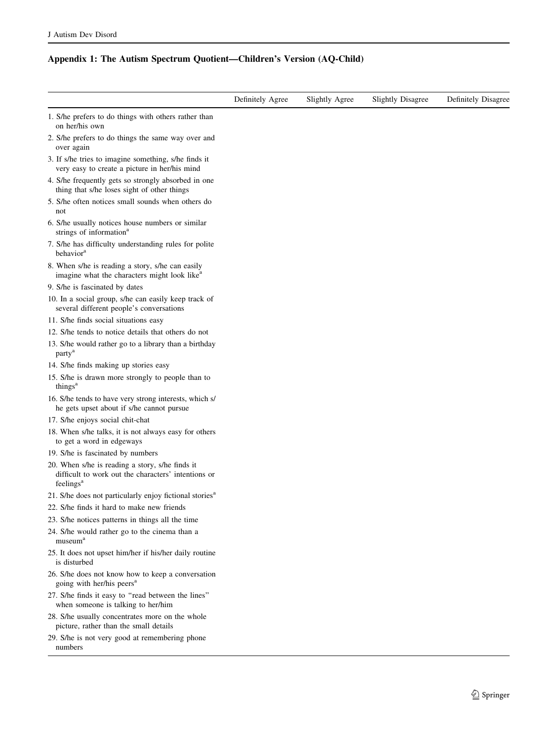## Appendix 1: The Autism Spectrum Quotient—Children's Version (AQ-Child)

|                                                                                                                                 | Definitely Agree | Slightly Agree | <b>Slightly Disagree</b> | Definitely Disagree |
|---------------------------------------------------------------------------------------------------------------------------------|------------------|----------------|--------------------------|---------------------|
| 1. S/he prefers to do things with others rather than<br>on her/his own                                                          |                  |                |                          |                     |
| 2. S/he prefers to do things the same way over and<br>over again                                                                |                  |                |                          |                     |
| 3. If s/he tries to imagine something, s/he finds it<br>very easy to create a picture in her/his mind                           |                  |                |                          |                     |
| 4. S/he frequently gets so strongly absorbed in one<br>thing that s/he loses sight of other things                              |                  |                |                          |                     |
| 5. S/he often notices small sounds when others do<br>not                                                                        |                  |                |                          |                     |
| 6. S/he usually notices house numbers or similar<br>strings of information <sup>a</sup>                                         |                  |                |                          |                     |
| 7. S/he has difficulty understanding rules for polite<br>behavior <sup>a</sup>                                                  |                  |                |                          |                     |
| 8. When s/he is reading a story, s/he can easily<br>imagine what the characters might look like <sup>a</sup>                    |                  |                |                          |                     |
| 9. S/he is fascinated by dates                                                                                                  |                  |                |                          |                     |
| 10. In a social group, s/he can easily keep track of<br>several different people's conversations                                |                  |                |                          |                     |
| 11. S/he finds social situations easy                                                                                           |                  |                |                          |                     |
| 12. S/he tends to notice details that others do not                                                                             |                  |                |                          |                     |
| 13. S/he would rather go to a library than a birthday<br>party <sup>a</sup>                                                     |                  |                |                          |                     |
| 14. S/he finds making up stories easy                                                                                           |                  |                |                          |                     |
| 15. S/he is drawn more strongly to people than to<br>things <sup>a</sup>                                                        |                  |                |                          |                     |
| 16. S/he tends to have very strong interests, which s/<br>he gets upset about if s/he cannot pursue                             |                  |                |                          |                     |
| 17. S/he enjoys social chit-chat                                                                                                |                  |                |                          |                     |
| 18. When s/he talks, it is not always easy for others<br>to get a word in edgeways                                              |                  |                |                          |                     |
| 19. S/he is fascinated by numbers                                                                                               |                  |                |                          |                     |
| 20. When s/he is reading a story, s/he finds it<br>difficult to work out the characters' intentions or<br>feelings <sup>a</sup> |                  |                |                          |                     |
| 21. S/he does not particularly enjoy fictional stories <sup>a</sup>                                                             |                  |                |                          |                     |
| 22. S/he finds it hard to make new friends                                                                                      |                  |                |                          |                     |
| 23. S/he notices patterns in things all the time                                                                                |                  |                |                          |                     |
| 24. S/he would rather go to the cinema than a<br>museum <sup>a</sup>                                                            |                  |                |                          |                     |
| 25. It does not upset him/her if his/her daily routine<br>is disturbed                                                          |                  |                |                          |                     |
| 26. S/he does not know how to keep a conversation<br>going with her/his peers <sup>a</sup>                                      |                  |                |                          |                     |
| 27. S/he finds it easy to "read between the lines"<br>when someone is talking to her/him                                        |                  |                |                          |                     |
| 28. S/he usually concentrates more on the whole<br>picture, rather than the small details                                       |                  |                |                          |                     |
| 29. S/he is not very good at remembering phone<br>numbers                                                                       |                  |                |                          |                     |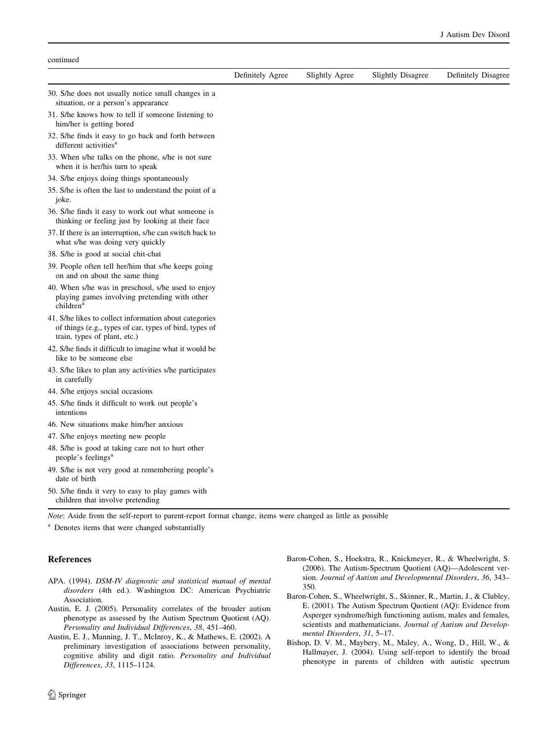<span id="page-9-0"></span>

| continued                                                                                                                                        |                  |                |                          |                     |
|--------------------------------------------------------------------------------------------------------------------------------------------------|------------------|----------------|--------------------------|---------------------|
|                                                                                                                                                  | Definitely Agree | Slightly Agree | <b>Slightly Disagree</b> | Definitely Disagree |
| 30. S/he does not usually notice small changes in a<br>situation, or a person's appearance                                                       |                  |                |                          |                     |
| 31. S/he knows how to tell if someone listening to<br>him/her is getting bored                                                                   |                  |                |                          |                     |
| 32. S/he finds it easy to go back and forth between<br>different activities <sup>a</sup>                                                         |                  |                |                          |                     |
| 33. When s/he talks on the phone, s/he is not sure<br>when it is her/his turn to speak                                                           |                  |                |                          |                     |
| 34. S/he enjoys doing things spontaneously                                                                                                       |                  |                |                          |                     |
| 35. S/he is often the last to understand the point of a<br>joke.                                                                                 |                  |                |                          |                     |
| 36. S/he finds it easy to work out what someone is<br>thinking or feeling just by looking at their face                                          |                  |                |                          |                     |
| 37. If there is an interruption, s/he can switch back to<br>what s/he was doing very quickly                                                     |                  |                |                          |                     |
| 38. S/he is good at social chit-chat                                                                                                             |                  |                |                          |                     |
| 39. People often tell her/him that s/he keeps going<br>on and on about the same thing                                                            |                  |                |                          |                     |
| 40. When s/he was in preschool, s/he used to enjoy<br>playing games involving pretending with other<br>children <sup>a</sup>                     |                  |                |                          |                     |
| 41. S/he likes to collect information about categories<br>of things (e.g., types of car, types of bird, types of<br>train, types of plant, etc.) |                  |                |                          |                     |
| 42. S/he finds it difficult to imagine what it would be<br>like to be someone else                                                               |                  |                |                          |                     |
| 43. S/he likes to plan any activities s/he participates<br>in carefully                                                                          |                  |                |                          |                     |
| 44. S/he enjoys social occasions                                                                                                                 |                  |                |                          |                     |
| 45. S/he finds it difficult to work out people's<br>intentions                                                                                   |                  |                |                          |                     |
| 46. New situations make him/her anxious                                                                                                          |                  |                |                          |                     |
| 47. S/he enjoys meeting new people                                                                                                               |                  |                |                          |                     |
| 48. S/he is good at taking care not to hurt other<br>people's feelings <sup>a</sup>                                                              |                  |                |                          |                     |
| 49. S/he is not very good at remembering people's<br>date of birth                                                                               |                  |                |                          |                     |
| 50. S/he finds it very to easy to play games with<br>children that involve pretending                                                            |                  |                |                          |                     |

Note: Aside from the self-report to parent-report format change, items were changed as little as possible

<sup>a</sup> Denotes items that were changed substantially

#### References

- APA. (1994). DSM-IV diagnostic and statistical manual of mental disorders (4th ed.). Washington DC: American Psychiatric Association.
- Austin, E. J. (2005). Personality correlates of the broader autism phenotype as assessed by the Autism Spectrum Quotient (AQ). Personality and Individual Differences, 38, 451–460.
- Austin, E. J., Manning, J. T., McInroy, K., & Mathews, E. (2002). A preliminary investigation of associations between personality, cognitive ability and digit ratio. Personality and Individual Differences, 33, 1115–1124.
- Baron-Cohen, S., Hoekstra, R., Knickmeyer, R., & Wheelwright, S. (2006). The Autism-Spectrum Quotient (AQ)—Adolescent version. Journal of Autism and Developmental Disorders, 36, 343– 350.
- Baron-Cohen, S., Wheelwright, S., Skinner, R., Martin, J., & Clubley, E. (2001). The Autism Spectrum Quotient (AQ): Evidence from Asperger syndrome/high functioning autism, males and females, scientists and mathematicians. Journal of Autism and Developmental Disorders, 31, 5–17.
- Bishop, D. V. M., Maybery, M., Maley, A., Wong, D., Hill, W., & Hallmayer, J. (2004). Using self-report to identify the broad phenotype in parents of children with autistic spectrum